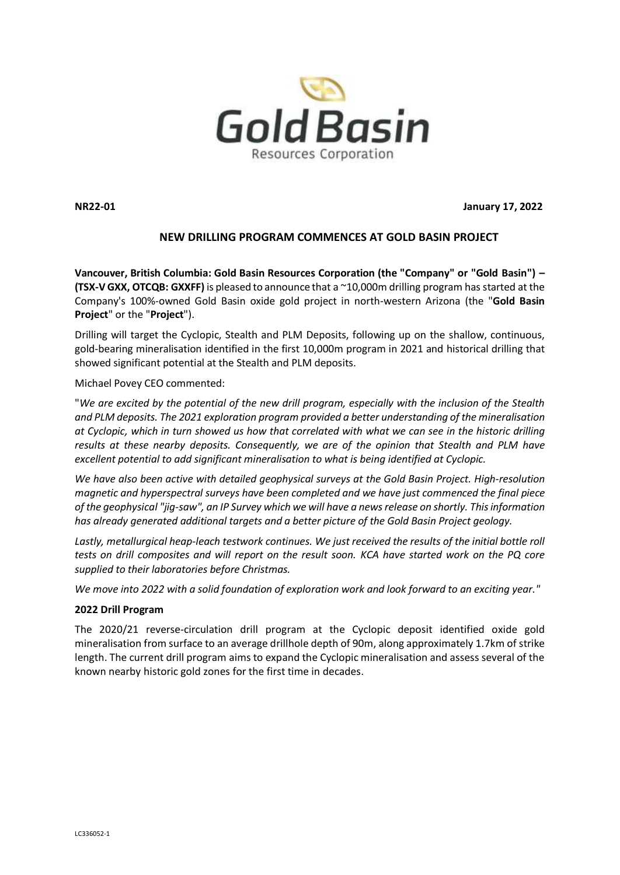

**NR22-01 January 17, 2022**

# **NEW DRILLING PROGRAM COMMENCES AT GOLD BASIN PROJECT**

**Vancouver, British Columbia: Gold Basin Resources Corporation (the "Company" or "Gold Basin") – (TSX-VGXX, OTCQB: GXXFF)** is pleased to announce that a ~10,000m drilling program has started at the Company's 100%-owned Gold Basin oxide gold project in north-western Arizona (the "**Gold Basin Project**" or the "**Project**").

Drilling will target the Cyclopic, Stealth and PLM Deposits, following up on the shallow, continuous, gold-bearing mineralisation identified in the first 10,000m program in 2021 and historical drilling that showed significant potential at the Stealth and PLM deposits.

Michael Povey CEO commented:

"*We are excited by the potential of the new drill program, especially with the inclusion of the Stealth and PLM deposits. The 2021 exploration program provided a better understanding of the mineralisation at Cyclopic, which in turn showed us how that correlated with what we can see in the historic drilling results at these nearby deposits. Consequently, we are of the opinion that Stealth and PLM have excellent potential to add significant mineralisation to what is being identified at Cyclopic.*

*We have also been active with detailed geophysical surveys at the Gold Basin Project. High-resolution magnetic and hyperspectral surveys have been completed and we have just commenced the final piece of the geophysical "jig-saw", an IP Survey which we will have a news release on shortly. Thisinformation has already generated additional targets and a better picture of the Gold Basin Project geology.*

*Lastly, metallurgical heap-leach testwork continues. We just received the results of the initial bottle roll tests on drill composites and will report on the result soon. KCA have started work on the PQ core supplied to their laboratories before Christmas.* 

*We move into 2022 with a solid foundation of exploration work and look forward to an exciting year."*

# **2022 Drill Program**

The 2020/21 reverse-circulation drill program at the Cyclopic deposit identified oxide gold mineralisation from surface to an average drillhole depth of 90m, along approximately 1.7km of strike length. The current drill program aims to expand the Cyclopic mineralisation and assess several of the known nearby historic gold zones for the first time in decades.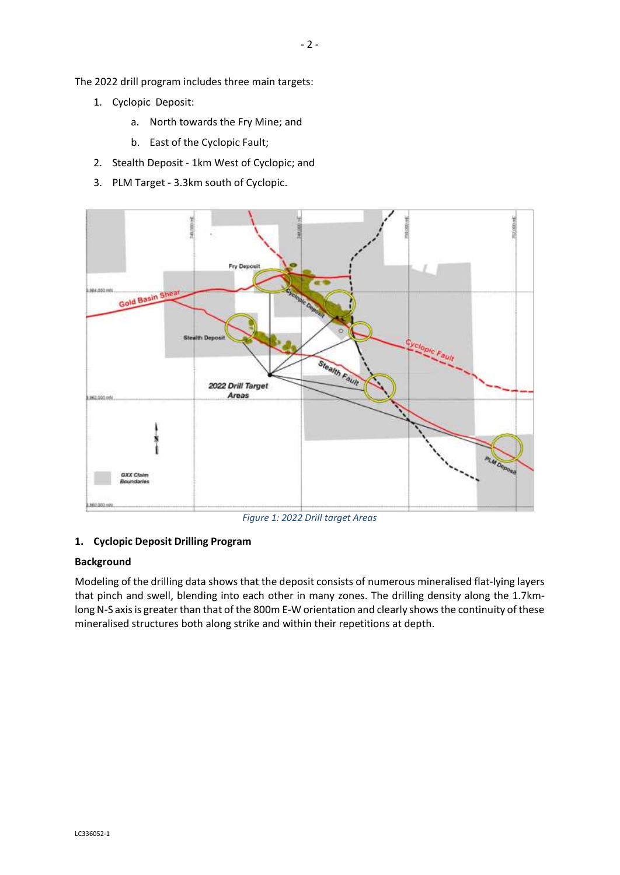- 1. Cyclopic Deposit:
	- a. North towards the Fry Mine; and
	- b. East of the Cyclopic Fault;
- 2. Stealth Deposit 1km West of Cyclopic; and
- 3. PLM Target 3.3km south of Cyclopic.



*Figure 1: 2022 Drill target Areas*

# **1. Cyclopic Deposit Drilling Program**

# **Background**

Modeling of the drilling data shows that the deposit consists of numerous mineralised flat-lying layers that pinch and swell, blending into each other in many zones. The drilling density along the 1.7kmlong N-S axis is greater than that of the 800m E-W orientation and clearly shows the continuity of these mineralised structures both along strike and within their repetitions at depth.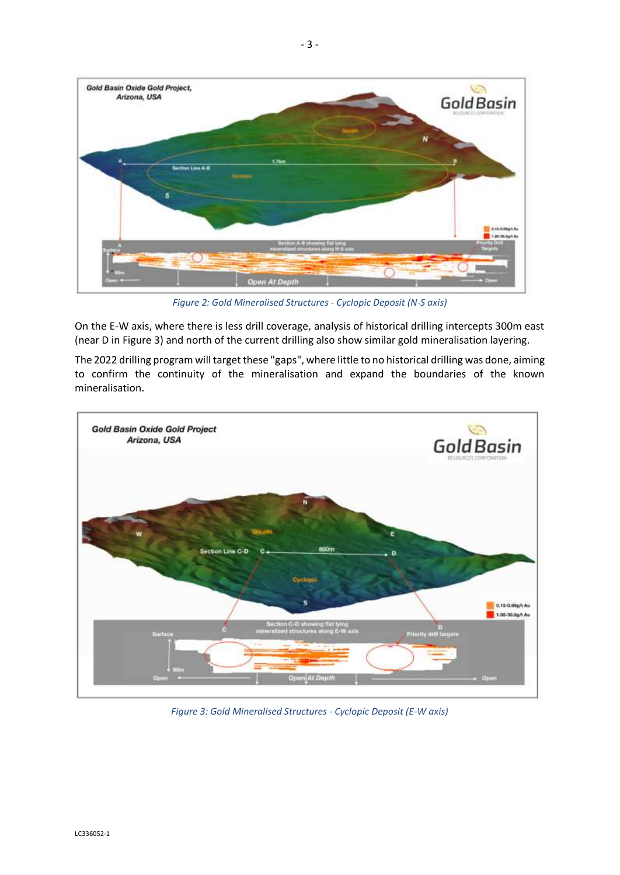

*Figure 2: Gold Mineralised Structures - Cyclopic Deposit (N-S axis)*

On the E-W axis, where there is less drill coverage, analysis of historical drilling intercepts 300m east (near D in Figure 3) and north of the current drilling also show similar gold mineralisation layering.

The 2022 drilling program will target these "gaps", where little to no historical drilling was done, aiming to confirm the continuity of the mineralisation and expand the boundaries of the known mineralisation.



*Figure 3: Gold Mineralised Structures - Cyclopic Deposit (E-W axis)*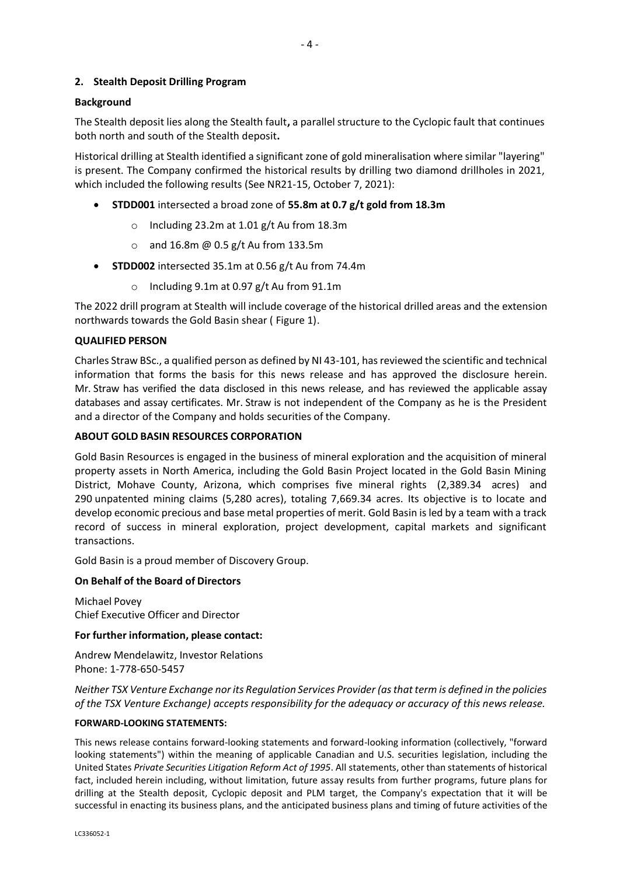## **2. Stealth Deposit Drilling Program**

## **Background**

The Stealth deposit lies along the Stealth fault**,** a parallel structure to the Cyclopic fault that continues both north and south of the Stealth deposit**.**

Historical drilling at Stealth identified a significant zone of gold mineralisation where similar "layering" is present. The Company confirmed the historical results by drilling two diamond drillholes in 2021, which included the following results (See NR21-15, October 7, 2021):

- **STDD001** intersected a broad zone of **55.8m at 0.7 g/t gold from 18.3m**
	- o Including 23.2m at 1.01 g/t Au from 18.3m
	- o and 16.8m @ 0.5 g/t Au from 133.5m
- **STDD002** intersected 35.1m at 0.56 g/t Au from 74.4m
	- o Including 9.1m at 0.97 g/t Au from 91.1m

The 2022 drill program at Stealth will include coverage of the historical drilled areas and the extension northwards towards the Gold Basin shear ( Figure 1).

#### **QUALIFIED PERSON**

Charles Straw BSc., a qualified person as defined by NI 43-101, has reviewed the scientific and technical information that forms the basis for this news release and has approved the disclosure herein. Mr. Straw has verified the data disclosed in this news release, and has reviewed the applicable assay databases and assay certificates. Mr. Straw is not independent of the Company as he is the President and a director of the Company and holds securities of the Company.

## **ABOUT GOLD BASIN RESOURCES CORPORATION**

Gold Basin Resources is engaged in the business of mineral exploration and the acquisition of mineral property assets in North America, including the Gold Basin Project located in the Gold Basin Mining District, Mohave County, Arizona, which comprises five mineral rights (2,389.34 acres) and 290 unpatented mining claims (5,280 acres), totaling 7,669.34 acres. Its objective is to locate and develop economic precious and base metal properties of merit. Gold Basin is led by a team with a track record of success in mineral exploration, project development, capital markets and significant transactions.

Gold Basin is a proud member of Discovery Group.

#### **On Behalf of the Board of Directors**

Michael Povey Chief Executive Officer and Director

#### **For further information, please contact:**

Andrew Mendelawitz, Investor Relations Phone: 1-778-650-5457

*Neither TSX Venture Exchange nor its Regulation Services Provider (as that term is defined in the policies of the TSX Venture Exchange) accepts responsibility for the adequacy or accuracy of this news release.*

#### **FORWARD-LOOKING STATEMENTS:**

This news release contains forward-looking statements and forward-looking information (collectively, "forward looking statements") within the meaning of applicable Canadian and U.S. securities legislation, including the United States *Private Securities Litigation Reform Act of 1995*. All statements, other than statements of historical fact, included herein including, without limitation, future assay results from further programs, future plans for drilling at the Stealth deposit, Cyclopic deposit and PLM target, the Company's expectation that it will be successful in enacting its business plans, and the anticipated business plans and timing of future activities of the